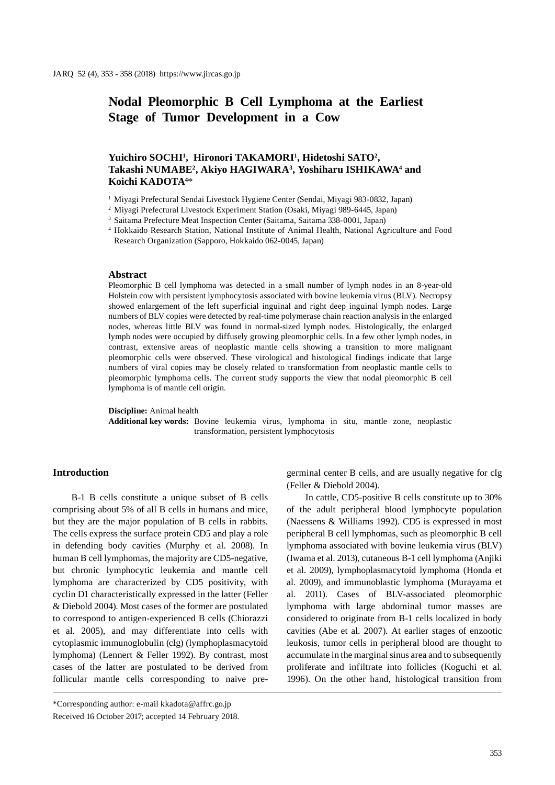# **Nodal Pleomorphic B Cell Lymphoma at the Earliest Stage of Tumor Development in a Cow**

# **Yuichiro SOCHI1 , Hironori TAKAMORI1 , Hidetoshi SATO2 , Takashi NUMABE2 , Akiyo HAGIWARA3 , Yoshiharu ISHIKAWA4 and Koichi KADOTA4** \*

- <sup>1</sup> Miyagi Prefectural Sendai Livestock Hygiene Center (Sendai, Miyagi 983-0832, Japan)
- <sup>2</sup> Miyagi Prefectural Livestock Experiment Station (Osaki, Miyagi 989-6445, Japan)

<sup>4</sup> Hokkaido Research Station, National Institute of Animal Health, National Agriculture and Food Research Organization (Sapporo, Hokkaido 062-0045, Japan)

#### **Abstract**

Pleomorphic B cell lymphoma was detected in a small number of lymph nodes in an 8-year-old Holstein cow with persistent lymphocytosis associated with bovine leukemia virus (BLV). Necropsy showed enlargement of the left superficial inguinal and right deep inguinal lymph nodes. Large numbers of BLV copies were detected by real-time polymerase chain reaction analysis in the enlarged nodes, whereas little BLV was found in normal-sized lymph nodes. Histologically, the enlarged lymph nodes were occupied by diffusely growing pleomorphic cells. In a few other lymph nodes, in contrast, extensive areas of neoplastic mantle cells showing a transition to more malignant pleomorphic cells were observed. These virological and histological findings indicate that large numbers of viral copies may be closely related to transformation from neoplastic mantle cells to pleomorphic lymphoma cells. The current study supports the view that nodal pleomorphic B cell lymphoma is of mantle cell origin.

#### **Discipline:** Animal health

**Additional key words:** Bovine leukemia virus, lymphoma in situ, mantle zone, neoplastic transformation, persistent lymphocytosis

# **Introduction**

B-1 B cells constitute a unique subset of B cells comprising about 5% of all B cells in humans and mice, but they are the major population of B cells in rabbits. The cells express the surface protein CD5 and play a role in defending body cavities (Murphy et al. 2008). In human B cell lymphomas, the majority are CD5-negative, but chronic lymphocytic leukemia and mantle cell lymphoma are characterized by CD5 positivity, with cyclin D1 characteristically expressed in the latter (Feller & Diebold 2004). Most cases of the former are postulated to correspond to antigen-experienced B cells (Chiorazzi et al. 2005), and may differentiate into cells with cytoplasmic immunoglobulin (cIg) (lymphoplasmacytoid lymphoma) (Lennert & Feller 1992). By contrast, most cases of the latter are postulated to be derived from follicular mantle cells corresponding to naive pregerminal center B cells, and are usually negative for cIg (Feller & Diebold 2004).

In cattle, CD5-positive B cells constitute up to 30% of the adult peripheral blood lymphocyte population (Naessens & Williams 1992). CD5 is expressed in most peripheral B cell lymphomas, such as pleomorphic B cell lymphoma associated with bovine leukemia virus (BLV) (Iwama et al. 2013), cutaneous B-1 cell lymphoma (Anjiki et al. 2009), lymphoplasmacytoid lymphoma (Honda et al. 2009), and immunoblastic lymphoma (Murayama et al. 2011). Cases of BLV-associated pleomorphic lymphoma with large abdominal tumor masses are considered to originate from B-1 cells localized in body cavities (Abe et al. 2007). At earlier stages of enzootic leukosis, tumor cells in peripheral blood are thought to accumulate in the marginal sinus area and to subsequently proliferate and infiltrate into follicles (Koguchi et al. 1996). On the other hand, histological transition from

<sup>3</sup> Saitama Prefecture Meat Inspection Center (Saitama, Saitama 338-0001, Japan)

<sup>\*</sup>Corresponding author: e-mail kkadota@affrc.go.jp Received 16 October 2017; accepted 14 February 2018.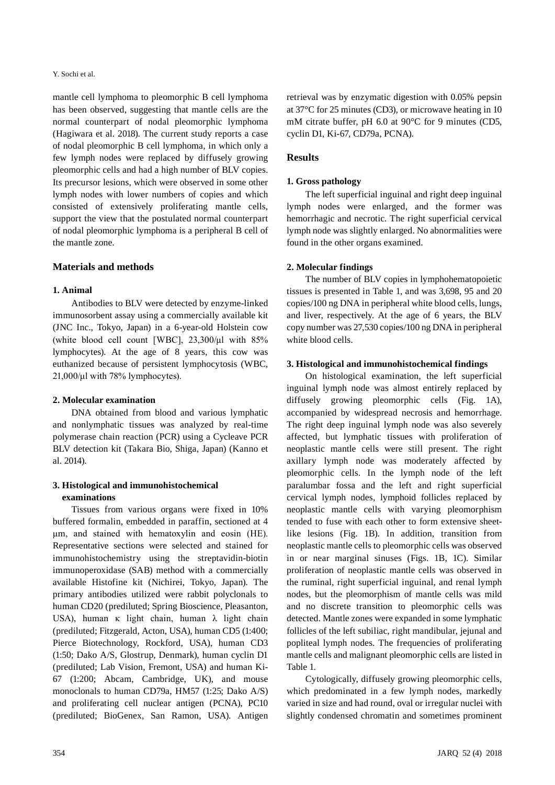#### Y. Sochi et al.

mantle cell lymphoma to pleomorphic B cell lymphoma has been observed, suggesting that mantle cells are the normal counterpart of nodal pleomorphic lymphoma (Hagiwara et al. 2018). The current study reports a case of nodal pleomorphic B cell lymphoma, in which only a few lymph nodes were replaced by diffusely growing pleomorphic cells and had a high number of BLV copies. Its precursor lesions, which were observed in some other lymph nodes with lower numbers of copies and which consisted of extensively proliferating mantle cells, support the view that the postulated normal counterpart of nodal pleomorphic lymphoma is a peripheral B cell of the mantle zone.

# **Materials and methods**

# **1. Animal**

Antibodies to BLV were detected by enzyme-linked immunosorbent assay using a commercially available kit (JNC Inc., Tokyo, Japan) in a 6-year-old Holstein cow (white blood cell count [WBC],  $23,300/\mu$ ] with  $85\%$ lymphocytes). At the age of 8 years, this cow was euthanized because of persistent lymphocytosis (WBC,  $21,000/\mu$ l with 78% lymphocytes).

# **2. Molecular examination**

DNA obtained from blood and various lymphatic and nonlymphatic tissues was analyzed by real-time polymerase chain reaction (PCR) using a Cycleave PCR BLV detection kit (Takara Bio, Shiga, Japan) (Kanno et al. 2014).

# **3. Histological and immunohistochemical examinations**

Tissues from various organs were fixed in 10% buffered formalin, embedded in paraffin, sectioned at 4 μm, and stained with hematoxylin and eosin (HE). Representative sections were selected and stained for immunohistochemistry using the streptavidin-biotin immunoperoxidase (SAB) method with a commercially available Histofine kit (Nichirei, Tokyo, Japan). The primary antibodies utilized were rabbit polyclonals to human CD20 (prediluted; Spring Bioscience, Pleasanton, USA), human κ light chain, human λ light chain (prediluted; Fitzgerald, Acton, USA), human CD5 (1:400; Pierce Biotechnology, Rockford, USA), human CD3 (1:50; Dako A/S, Glostrup, Denmark), human cyclin D1 (prediluted; Lab Vision, Fremont, USA) and human Ki-67 (1:200; Abcam, Cambridge, UK), and mouse monoclonals to human CD79a, HM57 (1:25; Dako A/S) and proliferating cell nuclear antigen (PCNA), PC10 (prediluted; BioGenex, San Ramon, USA). Antigen

retrieval was by enzymatic digestion with 0.05% pepsin at 37°C for 25 minutes (CD3), or microwave heating in 10 mM citrate buffer, pH 6.0 at 90°C for 9 minutes (CD5, cyclin D1, Ki-67, CD79a, PCNA).

# **Results**

# **1. Gross pathology**

The left superficial inguinal and right deep inguinal lymph nodes were enlarged, and the former was hemorrhagic and necrotic. The right superficial cervical lymph node was slightly enlarged. No abnormalities were found in the other organs examined.

# **2. Molecular findings**

The number of BLV copies in lymphohematopoietic tissues is presented in Table 1, and was 3,698, 95 and 20 copies/100 ng DNA in peripheral white blood cells, lungs, and liver, respectively. At the age of 6 years, the BLV copy number was 27,530 copies/100 ng DNA in peripheral white blood cells.

# **3. Histological and immunohistochemical findings**

On histological examination, the left superficial inguinal lymph node was almost entirely replaced by diffusely growing pleomorphic cells (Fig. 1A), accompanied by widespread necrosis and hemorrhage. The right deep inguinal lymph node was also severely affected, but lymphatic tissues with proliferation of neoplastic mantle cells were still present. The right axillary lymph node was moderately affected by pleomorphic cells. In the lymph node of the left paralumbar fossa and the left and right superficial cervical lymph nodes, lymphoid follicles replaced by neoplastic mantle cells with varying pleomorphism tended to fuse with each other to form extensive sheetlike lesions (Fig. 1B). In addition, transition from neoplastic mantle cells to pleomorphic cells was observed in or near marginal sinuses (Figs. 1B, 1C). Similar proliferation of neoplastic mantle cells was observed in the ruminal, right superficial inguinal, and renal lymph nodes, but the pleomorphism of mantle cells was mild and no discrete transition to pleomorphic cells was detected. Mantle zones were expanded in some lymphatic follicles of the left subiliac, right mandibular, jejunal and popliteal lymph nodes. The frequencies of proliferating mantle cells and malignant pleomorphic cells are listed in Table 1.

Cytologically, diffusely growing pleomorphic cells, which predominated in a few lymph nodes, markedly varied in size and had round, oval or irregular nuclei with slightly condensed chromatin and sometimes prominent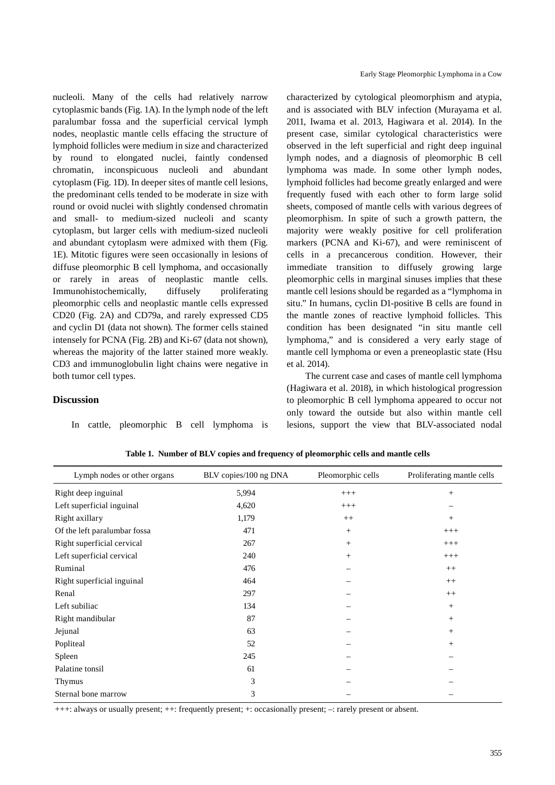nucleoli. Many of the cells had relatively narrow cytoplasmic bands (Fig. 1A). In the lymph node of the left paralumbar fossa and the superficial cervical lymph nodes, neoplastic mantle cells effacing the structure of lymphoid follicles were medium in size and characterized by round to elongated nuclei, faintly condensed chromatin, inconspicuous nucleoli and abundant cytoplasm (Fig. 1D). In deeper sites of mantle cell lesions, the predominant cells tended to be moderate in size with round or ovoid nuclei with slightly condensed chromatin and small- to medium-sized nucleoli and scanty cytoplasm, but larger cells with medium-sized nucleoli and abundant cytoplasm were admixed with them (Fig. 1E). Mitotic figures were seen occasionally in lesions of diffuse pleomorphic B cell lymphoma, and occasionally or rarely in areas of neoplastic mantle cells. Immunohistochemically, diffusely proliferating pleomorphic cells and neoplastic mantle cells expressed CD20 (Fig. 2A) and CD79a, and rarely expressed CD5 and cyclin D1 (data not shown). The former cells stained intensely for PCNA (Fig. 2B) and Ki-67 (data not shown), whereas the majority of the latter stained more weakly. CD3 and immunoglobulin light chains were negative in both tumor cell types.

In cattle, pleomorphic B cell lymphoma is

Sternal bone marrow 3

**Discussion**

Early Stage Pleomorphic Lymphoma in a Cow

characterized by cytological pleomorphism and atypia, and is associated with BLV infection (Murayama et al. 2011, Iwama et al. 2013, Hagiwara et al. 2014). In the present case, similar cytological characteristics were observed in the left superficial and right deep inguinal lymph nodes, and a diagnosis of pleomorphic B cell lymphoma was made. In some other lymph nodes, lymphoid follicles had become greatly enlarged and were frequently fused with each other to form large solid sheets, composed of mantle cells with various degrees of pleomorphism. In spite of such a growth pattern, the majority were weakly positive for cell proliferation markers (PCNA and Ki-67), and were reminiscent of cells in a precancerous condition. However, their immediate transition to diffusely growing large pleomorphic cells in marginal sinuses implies that these mantle cell lesions should be regarded as a "lymphoma in situ." In humans, cyclin D1-positive B cells are found in the mantle zones of reactive lymphoid follicles. This condition has been designated "in situ mantle cell lymphoma," and is considered a very early stage of mantle cell lymphoma or even a preneoplastic state (Hsu et al. 2014).

The current case and cases of mantle cell lymphoma (Hagiwara et al. 2018), in which histological progression to pleomorphic B cell lymphoma appeared to occur not only toward the outside but also within mantle cell lesions, support the view that BLV-associated nodal

| Lymph nodes or other organs  | BLV copies/100 ng DNA | Pleomorphic cells | Proliferating mantle cells |
|------------------------------|-----------------------|-------------------|----------------------------|
| Right deep inguinal          | 5,994                 | $^{+++}$          | $^{+}$                     |
| Left superficial inguinal    | 4,620                 | $^{+++}$          |                            |
| Right axillary               | 1,179                 | $++$              | $+$                        |
| Of the left paralumbar fossa | 471                   | $+$               | $+++$                      |
| Right superficial cervical   | 267                   | $+$               | $+++$                      |
| Left superficial cervical    | 240                   | $^{+}$            | $^{+++}$                   |
| Ruminal                      | 476                   |                   | $++$                       |
| Right superficial inguinal   | 464                   |                   | $++$                       |
| Renal                        | 297                   |                   | $++$                       |
| Left subiliac                | 134                   |                   | $+$                        |
| Right mandibular             | 87                    |                   | $\! +$                     |
| Jejunal                      | 63                    |                   | $\! +$                     |
| Popliteal                    | 52                    |                   | $+$                        |
| Spleen                       | 245                   |                   |                            |
| Palatine tonsil              | 61                    |                   |                            |
| Thymus                       | 3                     |                   |                            |
|                              |                       |                   |                            |

**Table 1. Number of BLV copies and frequency of pleomorphic cells and mantle cells**

+++: always or usually present; ++: frequently present; +: occasionally present; –: rarely present or absent.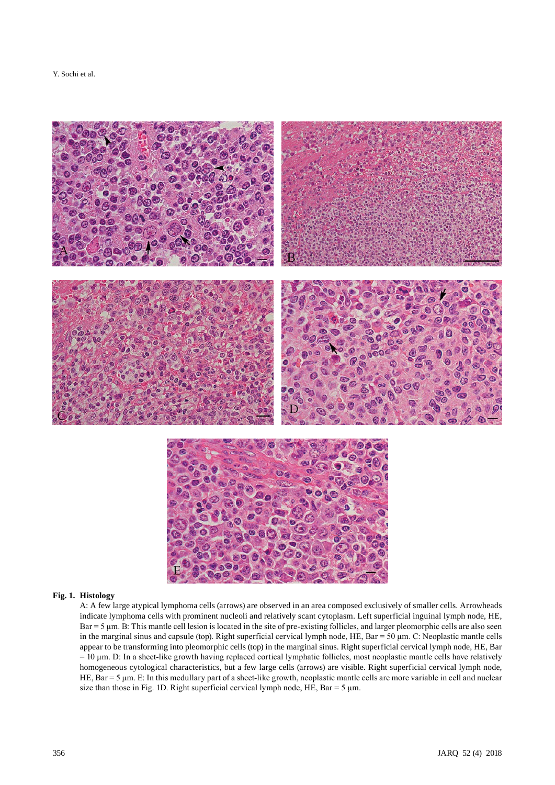Y. Sochi et al.



### **Fig. 1. Histology**

A: A few large atypical lymphoma cells (arrows) are observed in an area composed exclusively of smaller cells. Arrowheads indicate lymphoma cells with prominent nucleoli and relatively scant cytoplasm. Left superficial inguinal lymph node, HE, Bar = 5 μm. B: This mantle cell lesion is located in the site of pre-existing follicles, and larger pleomorphic cells are also seen in the marginal sinus and capsule (top). Right superficial cervical lymph node, HE, Bar = 50 μm. C: Neoplastic mantle cells appear to be transforming into pleomorphic cells (top) in the marginal sinus. Right superficial cervical lymph node, HE, Bar = 10 μm. D: In a sheet-like growth having replaced cortical lymphatic follicles, most neoplastic mantle cells have relatively homogeneous cytological characteristics, but a few large cells (arrows) are visible. Right superficial cervical lymph node, HE, Bar = 5 μm. E: In this medullary part of a sheet-like growth, neoplastic mantle cells are more variable in cell and nuclear size than those in Fig. 1D. Right superficial cervical lymph node, HE, Bar = 5  $\mu$ m.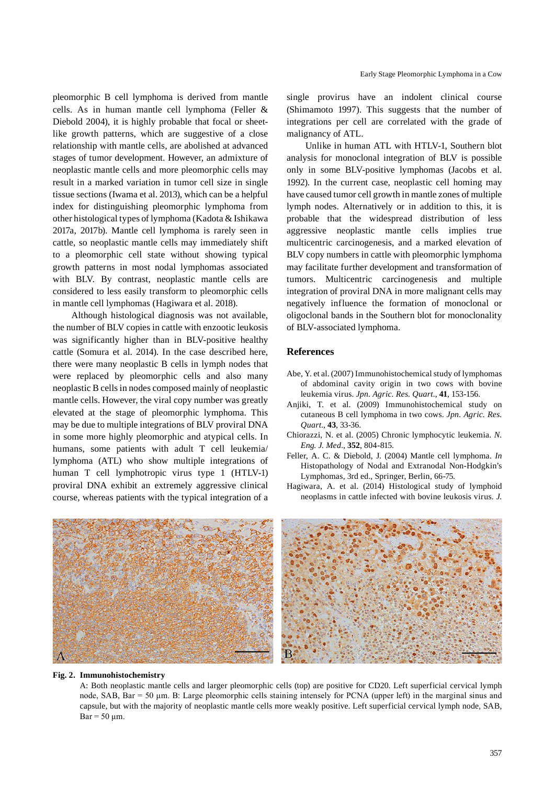pleomorphic B cell lymphoma is derived from mantle cells. As in human mantle cell lymphoma (Feller & Diebold 2004), it is highly probable that focal or sheetlike growth patterns, which are suggestive of a close relationship with mantle cells, are abolished at advanced stages of tumor development. However, an admixture of neoplastic mantle cells and more pleomorphic cells may result in a marked variation in tumor cell size in single tissue sections (Iwama et al. 2013), which can be a helpful index for distinguishing pleomorphic lymphoma from other histological types of lymphoma (Kadota & Ishikawa 2017a, 2017b). Mantle cell lymphoma is rarely seen in cattle, so neoplastic mantle cells may immediately shift to a pleomorphic cell state without showing typical growth patterns in most nodal lymphomas associated with BLV. By contrast, neoplastic mantle cells are considered to less easily transform to pleomorphic cells in mantle cell lymphomas (Hagiwara et al. 2018).

Although histological diagnosis was not available, the number of BLV copies in cattle with enzootic leukosis was significantly higher than in BLV-positive healthy cattle (Somura et al. 2014). In the case described here, there were many neoplastic B cells in lymph nodes that were replaced by pleomorphic cells and also many neoplastic B cells in nodes composed mainly of neoplastic mantle cells. However, the viral copy number was greatly elevated at the stage of pleomorphic lymphoma. This may be due to multiple integrations of BLV proviral DNA in some more highly pleomorphic and atypical cells. In humans, some patients with adult T cell leukemia/ lymphoma (ATL) who show multiple integrations of human T cell lymphotropic virus type 1 (HTLV-1) proviral DNA exhibit an extremely aggressive clinical course, whereas patients with the typical integration of a

single provirus have an indolent clinical course (Shimamoto 1997). This suggests that the number of integrations per cell are correlated with the grade of malignancy of ATL.

Unlike in human ATL with HTLV-1, Southern blot analysis for monoclonal integration of BLV is possible only in some BLV-positive lymphomas (Jacobs et al. 1992). In the current case, neoplastic cell homing may have caused tumor cell growth in mantle zones of multiple lymph nodes. Alternatively or in addition to this, it is probable that the widespread distribution of less aggressive neoplastic mantle cells implies true multicentric carcinogenesis, and a marked elevation of BLV copy numbers in cattle with pleomorphic lymphoma may facilitate further development and transformation of tumors. Multicentric carcinogenesis and multiple integration of proviral DNA in more malignant cells may negatively influence the formation of monoclonal or oligoclonal bands in the Southern blot for monoclonality of BLV-associated lymphoma.

#### **References**

- Abe, Y. et al. (2007) Immunohistochemical study of lymphomas of abdominal cavity origin in two cows with bovine leukemia virus. *Jpn. Agric. Res. Quart.*, **41**, 153-156.
- Anjiki, T. et al. (2009) Immunohistochemical study on cutaneous B cell lymphoma in two cows. *Jpn. Agric. Res. Quart.*, **43**, 33-36.
- Chiorazzi, N. et al. (2005) Chronic lymphocytic leukemia. *N. Eng. J. Med.*, **352**, 804-815.
- Feller, A. C. & Diebold, J. (2004) Mantle cell lymphoma. *In* Histopathology of Nodal and Extranodal Non-Hodgkin's Lymphomas, 3rd ed., Springer, Berlin, 66-75.
- Hagiwara, A. et al. (2014) Histological study of lymphoid neoplasms in cattle infected with bovine leukosis virus. *J.*



#### **Fig. 2. Immunohistochemistry**

A: Both neoplastic mantle cells and larger pleomorphic cells (top) are positive for CD20. Left superficial cervical lymph node, SAB, Bar = 50 μm. B: Large pleomorphic cells staining intensely for PCNA (upper left) in the marginal sinus and capsule, but with the majority of neoplastic mantle cells more weakly positive. Left superficial cervical lymph node, SAB,  $Bar = 50 \mu m$ .